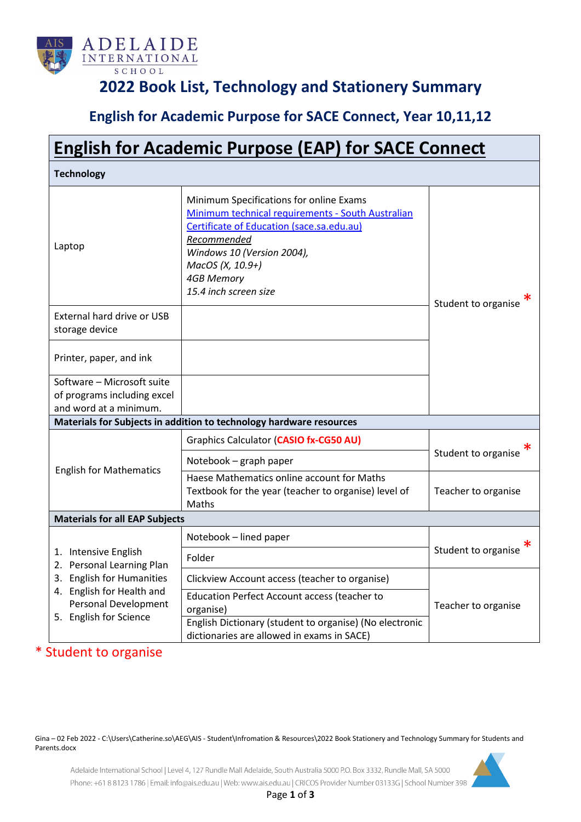

## **2022 Book List, Technology and Stationery Summary**

## **English for Academic Purpose for SACE Connect, Year 10,11,12**

| <b>English for Academic Purpose (EAP) for SACE Connect</b>                                                                                                           |                                                                                                                                                                                                                                                          |                     |  |  |
|----------------------------------------------------------------------------------------------------------------------------------------------------------------------|----------------------------------------------------------------------------------------------------------------------------------------------------------------------------------------------------------------------------------------------------------|---------------------|--|--|
| <b>Technology</b>                                                                                                                                                    |                                                                                                                                                                                                                                                          |                     |  |  |
| Laptop                                                                                                                                                               | Minimum Specifications for online Exams<br>Minimum technical requirements - South Australian<br>Certificate of Education (sace.sa.edu.au)<br>Recommended<br>Windows 10 (Version 2004),<br>MacOS (X, 10.9+)<br><b>4GB Memory</b><br>15.4 inch screen size | Student to organise |  |  |
| <b>External hard drive or USB</b><br>storage device                                                                                                                  |                                                                                                                                                                                                                                                          |                     |  |  |
| Printer, paper, and ink                                                                                                                                              |                                                                                                                                                                                                                                                          |                     |  |  |
| Software - Microsoft suite<br>of programs including excel<br>and word at a minimum.                                                                                  |                                                                                                                                                                                                                                                          |                     |  |  |
|                                                                                                                                                                      | Materials for Subjects in addition to technology hardware resources                                                                                                                                                                                      |                     |  |  |
| <b>English for Mathematics</b>                                                                                                                                       | Graphics Calculator (CASIO fx-CG50 AU)                                                                                                                                                                                                                   | Student to organise |  |  |
|                                                                                                                                                                      | Notebook - graph paper                                                                                                                                                                                                                                   |                     |  |  |
|                                                                                                                                                                      | Haese Mathematics online account for Maths<br>Textbook for the year (teacher to organise) level of<br>Maths                                                                                                                                              | Teacher to organise |  |  |
| <b>Materials for all EAP Subjects</b>                                                                                                                                |                                                                                                                                                                                                                                                          |                     |  |  |
| 1. Intensive English<br>2. Personal Learning Plan<br>3. English for Humanities<br>4. English for Health and<br><b>Personal Development</b><br>5. English for Science | Notebook - lined paper                                                                                                                                                                                                                                   | Student to organise |  |  |
|                                                                                                                                                                      | Folder                                                                                                                                                                                                                                                   |                     |  |  |
|                                                                                                                                                                      | Clickview Account access (teacher to organise)                                                                                                                                                                                                           |                     |  |  |
|                                                                                                                                                                      | <b>Education Perfect Account access (teacher to</b><br>organise)                                                                                                                                                                                         | Teacher to organise |  |  |
|                                                                                                                                                                      | English Dictionary (student to organise) (No electronic<br>dictionaries are allowed in exams in SACE)                                                                                                                                                    |                     |  |  |

#### \* Student to organise

Gina – 02 Feb 2022 - C:\Users\Catherine.so\AEG\AIS - Student\Infromation & Resources\2022 Book Stationery and Technology Summary for Students and Parents.docx

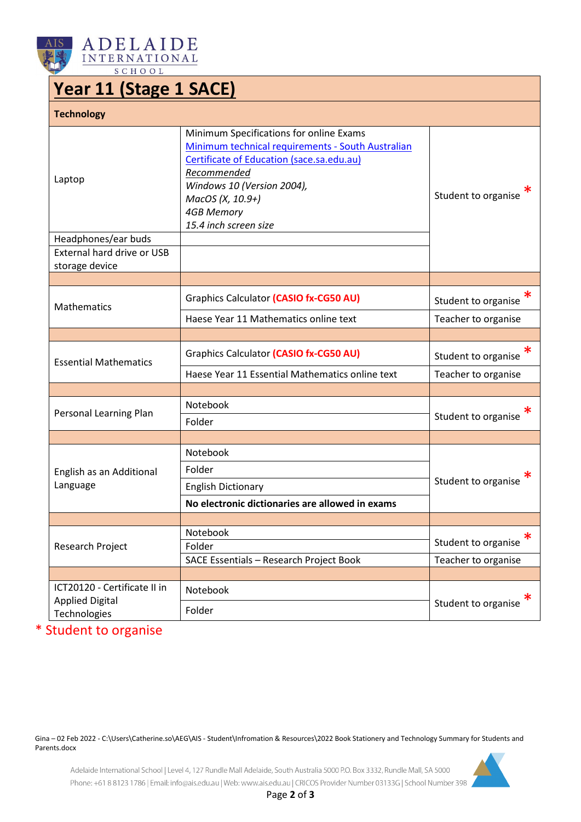



# **Year 11 (Stage 1 SACE)**

| <b>Technology</b>                      |                                                                                                                                                                                                                                                          |                     |
|----------------------------------------|----------------------------------------------------------------------------------------------------------------------------------------------------------------------------------------------------------------------------------------------------------|---------------------|
| Laptop<br>Headphones/ear buds          | Minimum Specifications for online Exams<br>Minimum technical requirements - South Australian<br>Certificate of Education (sace.sa.edu.au)<br>Recommended<br>Windows 10 (Version 2004),<br>MacOS (X, 10.9+)<br><b>4GB Memory</b><br>15.4 inch screen size | Student to organise |
| External hard drive or USB             |                                                                                                                                                                                                                                                          |                     |
| storage device                         |                                                                                                                                                                                                                                                          |                     |
| <b>Mathematics</b>                     | Graphics Calculator (CASIO fx-CG50 AU)                                                                                                                                                                                                                   | Student to organise |
|                                        | Haese Year 11 Mathematics online text                                                                                                                                                                                                                    | Teacher to organise |
|                                        |                                                                                                                                                                                                                                                          |                     |
| <b>Essential Mathematics</b>           | Graphics Calculator (CASIO fx-CG50 AU)                                                                                                                                                                                                                   | Student to organise |
|                                        | Haese Year 11 Essential Mathematics online text                                                                                                                                                                                                          | Teacher to organise |
|                                        |                                                                                                                                                                                                                                                          |                     |
| Personal Learning Plan                 | Notebook                                                                                                                                                                                                                                                 | Student to organise |
|                                        | Folder                                                                                                                                                                                                                                                   |                     |
|                                        |                                                                                                                                                                                                                                                          |                     |
| English as an Additional<br>Language   | Notebook                                                                                                                                                                                                                                                 | Student to organise |
|                                        | Folder                                                                                                                                                                                                                                                   |                     |
|                                        | <b>English Dictionary</b>                                                                                                                                                                                                                                |                     |
|                                        | No electronic dictionaries are allowed in exams                                                                                                                                                                                                          |                     |
|                                        |                                                                                                                                                                                                                                                          |                     |
| <b>Research Project</b>                | Notebook                                                                                                                                                                                                                                                 | Student to organise |
|                                        | Folder                                                                                                                                                                                                                                                   |                     |
|                                        | SACE Essentials - Research Project Book                                                                                                                                                                                                                  | Teacher to organise |
| ICT20120 - Certificate II in           | Notebook                                                                                                                                                                                                                                                 |                     |
| <b>Applied Digital</b><br>Technologies | Folder                                                                                                                                                                                                                                                   | Student to organise |

\* Student to organise

Gina – 02 Feb 2022 - C:\Users\Catherine.so\AEG\AIS - Student\Infromation & Resources\2022 Book Stationery and Technology Summary for Students and Parents.docx